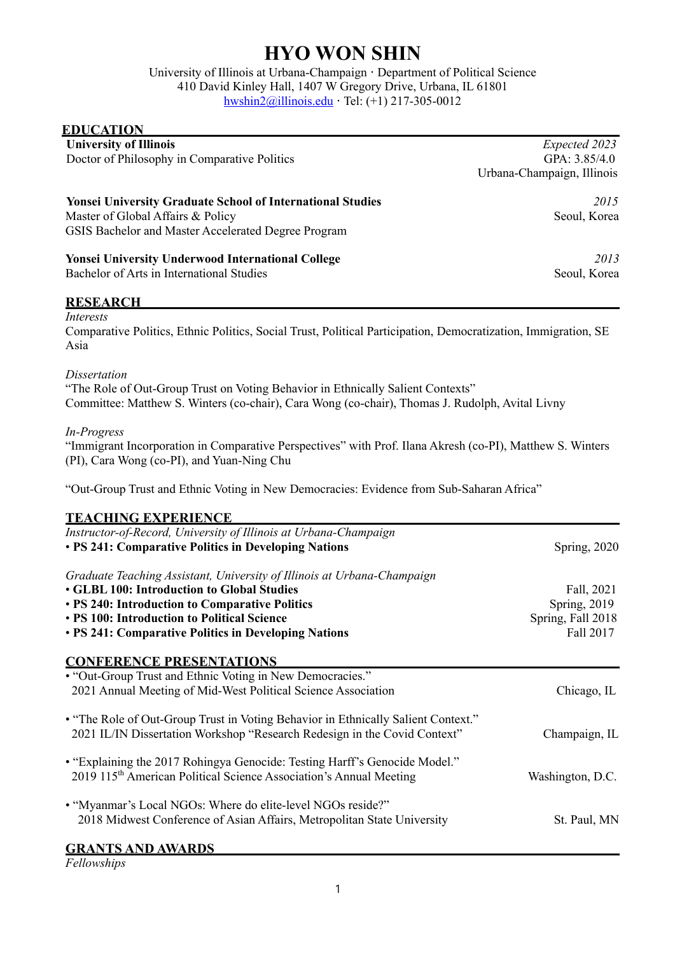## **HYO WON SHIN**

University of Illinois at Urbana-Champaign **·** Department of Political Science 410 David Kinley Hall, 1407 W Gregory Drive, Urbana, IL 61801 hwshin2@illinois.edu **·** Tel: (+1) 217-305-0012

| <b>University of Illinois</b><br>Doctor of Philosophy in Comparative Politics                                                                                                                                                 | Expected 2023<br>GPA: 3.85/4.0<br>Urbana-Champaign, Illinois |
|-------------------------------------------------------------------------------------------------------------------------------------------------------------------------------------------------------------------------------|--------------------------------------------------------------|
| <b>Yonsei University Graduate School of International Studies</b><br>Master of Global Affairs & Policy                                                                                                                        | 2015<br>Seoul, Korea                                         |
| GSIS Bachelor and Master Accelerated Degree Program                                                                                                                                                                           |                                                              |
| <b>Yonsei University Underwood International College</b><br>Bachelor of Arts in International Studies                                                                                                                         | 2013<br>Seoul, Korea                                         |
| <b>RESEARCH</b>                                                                                                                                                                                                               |                                                              |
| Interests<br>Comparative Politics, Ethnic Politics, Social Trust, Political Participation, Democratization, Immigration, SE<br>Asia                                                                                           |                                                              |
| <b>Dissertation</b><br>"The Role of Out-Group Trust on Voting Behavior in Ethnically Salient Contexts"<br>Committee: Matthew S. Winters (co-chair), Cara Wong (co-chair), Thomas J. Rudolph, Avital Livny                     |                                                              |
| In-Progress<br>"Immigrant Incorporation in Comparative Perspectives" with Prof. Ilana Akresh (co-PI), Matthew S. Winters<br>(PI), Cara Wong (co-PI), and Yuan-Ning Chu                                                        |                                                              |
| "Out-Group Trust and Ethnic Voting in New Democracies: Evidence from Sub-Saharan Africa"                                                                                                                                      |                                                              |
| <b>TEACHING EXPERIENCE</b>                                                                                                                                                                                                    |                                                              |
| Instructor-of-Record, University of Illinois at Urbana-Champaign<br>• PS 241: Comparative Politics in Developing Nations                                                                                                      | Spring, 2020                                                 |
| Graduate Teaching Assistant, University of Illinois at Urbana-Champaign<br><b>• GLBL 100: Introduction to Global Studies</b><br>• PS 240: Introduction to Comparative Politics<br>• PS 100: Introduction to Political Science | Fall, 2021<br>Spring, 2019                                   |
| • PS 241: Comparative Politics in Developing Nations                                                                                                                                                                          | Spring, Fall 2018<br>Fall 2017                               |
| <b>CONFERENCE PRESENTATIONS</b>                                                                                                                                                                                               |                                                              |
| • "Out-Group Trust and Ethnic Voting in New Democracies."<br>2021 Annual Meeting of Mid-West Political Science Association                                                                                                    | Chicago, IL                                                  |
| • "The Role of Out-Group Trust in Voting Behavior in Ethnically Salient Context."<br>2021 IL/IN Dissertation Workshop "Research Redesign in the Covid Context"                                                                | Champaign, IL                                                |
| • "Explaining the 2017 Rohingya Genocide: Testing Harff's Genocide Model."<br>2019 115 <sup>th</sup> American Political Science Association's Annual Meeting                                                                  | Washington, D.C.                                             |
| • "Myanmar's Local NGOs: Where do elite-level NGOs reside?"<br>2018 Midwest Conference of Asian Affairs, Metropolitan State University                                                                                        | St. Paul, MN                                                 |
| <b>GRANTS AND AWARDS</b>                                                                                                                                                                                                      |                                                              |

*Fellowships*